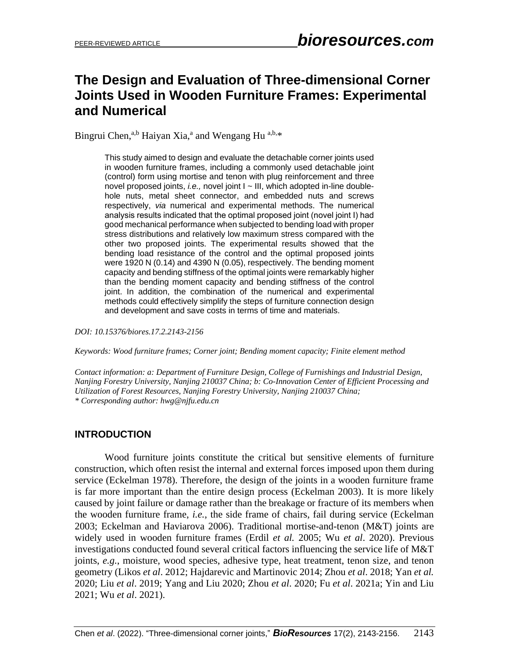# **The Design and Evaluation of Three-dimensional Corner Joints Used in Wooden Furniture Frames: Experimental and Numerical**

Bingrui Chen,<sup>a,b</sup> Haiyan Xia,<sup>a</sup> and Wengang Hu<sup>a,b,\*</sup>

This study aimed to design and evaluate the detachable corner joints used in wooden furniture frames, including a commonly used detachable joint (control) form using mortise and tenon with plug reinforcement and three novel proposed joints, *i.e.*, novel joint I ~ III, which adopted in-line doublehole nuts, metal sheet connector, and embedded nuts and screws respectively, *via* numerical and experimental methods. The numerical analysis results indicated that the optimal proposed joint (novel joint І) had good mechanical performance when subjected to bending load with proper stress distributions and relatively low maximum stress compared with the other two proposed joints. The experimental results showed that the bending load resistance of the control and the optimal proposed joints were 1920 N (0.14) and 4390 N (0.05), respectively. The bending moment capacity and bending stiffness of the optimal joints were remarkably higher than the bending moment capacity and bending stiffness of the control joint. In addition, the combination of the numerical and experimental methods could effectively simplify the steps of furniture connection design and development and save costs in terms of time and materials.

*DOI: 10.15376/biores.17.2.2143-2156*

*Keywords: Wood furniture frames; Corner joint; Bending moment capacity; Finite element method*

*Contact information: a: Department of Furniture Design, College of Furnishings and Industrial Design, Nanjing Forestry University, Nanjing 210037 China; b: Co-Innovation Center of Efficient Processing and Utilization of Forest Resources, Nanjing Forestry University, Nanjing 210037 China; \* Corresponding author: hwg@njfu.edu.cn*

# **INTRODUCTION**

Wood furniture joints constitute the critical but sensitive elements of furniture construction, which often resist the internal and external forces imposed upon them during service (Eckelman 1978). Therefore, the design of the joints in a wooden furniture frame is far more important than the entire design process (Eckelman 2003). It is more likely caused by joint failure or damage rather than the breakage or fracture of its members when the wooden furniture frame, *i.e.*, the side frame of chairs, fail during service (Eckelman 2003; Eckelman and Haviarova 2006). Traditional mortise-and-tenon (M&T) joints are widely used in wooden furniture frames (Erdil *et al.* 2005; Wu *et al*. 2020). Previous investigations conducted found several critical factors influencing the service life of M&T joints, *e.g.*, moisture, wood species, adhesive type, heat treatment, tenon size, and tenon geometry (Likos *et al*. 2012; Hajdarevic and Martinovic 2014; Zhou *et al*. 2018; Yan *et al.* 2020; Liu *et al*. 2019; Yang and Liu 2020; Zhou *et al*. 2020; Fu *et al*. 2021a; Yin and Liu 2021; Wu *et al*. 2021).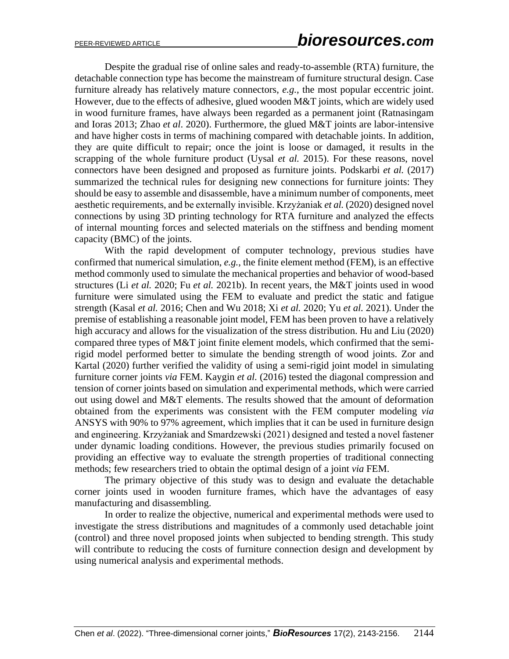Despite the gradual rise of online sales and ready-to-assemble (RTA) furniture, the detachable connection type has become the mainstream of furniture structural design. Case furniture already has relatively mature connectors, *e.g.*, the most popular eccentric joint. However, due to the effects of adhesive, glued wooden M&T joints, which are widely used in wood furniture frames, have always been regarded as a permanent joint (Ratnasingam and Ioras 2013; Zhao *et al*. 2020). Furthermore, the glued M&T joints are labor-intensive and have higher costs in terms of machining compared with detachable joints. In addition, they are quite difficult to repair; once the joint is loose or damaged, it results in the scrapping of the whole furniture product (Uysal *et al.* 2015). For these reasons, novel connectors have been designed and proposed as furniture joints. Podskarbi *et al.* (2017) summarized the technical rules for designing new connections for furniture joints: They should be easy to assemble and disassemble, have a minimum number of components, meet aesthetic requirements, and be externally invisible. Krzyżaniak *et al.* (2020) designed novel connections by using 3D printing technology for RTA furniture and analyzed the effects of internal mounting forces and selected materials on the stiffness and bending moment capacity (BMC) of the joints.

With the rapid development of computer technology, previous studies have confirmed that numerical simulation, *e.g.*, the finite element method (FEM), is an effective method commonly used to simulate the mechanical properties and behavior of wood-based structures (Li *et al.* 2020; Fu *et al.* 2021b). In recent years, the M&T joints used in wood furniture were simulated using the FEM to evaluate and predict the static and fatigue strength (Kasal *et al.* 2016; Chen and Wu 2018; Xi *et al.* 2020; Yu *et al.* 2021). Under the premise of establishing a reasonable joint model, FEM has been proven to have a relatively high accuracy and allows for the visualization of the stress distribution. Hu and Liu (2020) compared three types of M&T joint finite element models, which confirmed that the semirigid model performed better to simulate the bending strength of wood joints. Zor and Kartal (2020) further verified the validity of using a semi-rigid joint model in simulating furniture corner joints *via* FEM. Kaygin *et al.* (2016) tested the diagonal compression and tension of corner joints based on simulation and experimental methods, which were carried out using dowel and M&T elements. The results showed that the amount of deformation obtained from the experiments was consistent with the FEM computer modeling *via* ANSYS with 90% to 97% agreement, which implies that it can be used in furniture design and engineering. Krzyżaniak and Smardzewski (2021) designed and tested a novel fastener under dynamic loading conditions. However, the previous studies primarily focused on providing an effective way to evaluate the strength properties of traditional connecting methods; few researchers tried to obtain the optimal design of a joint *via* FEM.

The primary objective of this study was to design and evaluate the detachable corner joints used in wooden furniture frames, which have the advantages of easy manufacturing and disassembling.

In order to realize the objective, numerical and experimental methods were used to investigate the stress distributions and magnitudes of a commonly used detachable joint (control) and three novel proposed joints when subjected to bending strength. This study will contribute to reducing the costs of furniture connection design and development by using numerical analysis and experimental methods.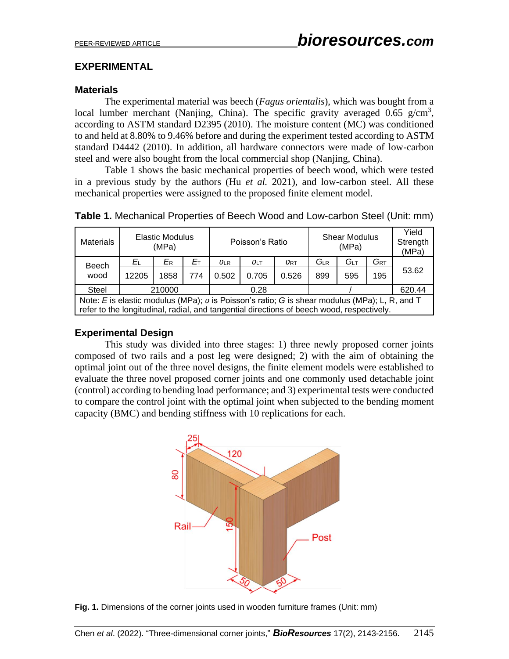# **EXPERIMENTAL**

# **Materials**

The experimental material was beech (*Fagus orientalis*), which was bought from a local lumber merchant (Nanjing, China). The specific gravity averaged  $0.65$  g/cm<sup>3</sup>, according to ASTM standard D2395 (2010). The moisture content (MC) was conditioned to and held at 8.80% to 9.46% before and during the experiment tested according to ASTM standard D4442 (2010). In addition, all hardware connectors were made of low-carbon steel and were also bought from the local commercial shop (Nanjing, China).

Table 1 shows the basic mechanical properties of beech wood, which were tested in a previous study by the authors (Hu *et al.* 2021), and low-carbon steel. All these mechanical properties were assigned to the proposed finite element model.

| <b>Materials</b>                                                                                                                                                                             | <b>Elastic Modulus</b><br>(MPa) |      |     | Poisson's Ratio |            |       | <b>Shear Modulus</b><br>(MPa) |     |                   | Yield<br>Strength<br>(MPa) |
|----------------------------------------------------------------------------------------------------------------------------------------------------------------------------------------------|---------------------------------|------|-----|-----------------|------------|-------|-------------------------------|-----|-------------------|----------------------------|
| <b>Beech</b>                                                                                                                                                                                 | ΕL                              | ER   | Eт  | $U\text{LR}$    | $U \cup T$ | URT   | $G_{LR}$                      | Ǵ∟т | $G_{\mathsf{RT}}$ |                            |
| wood                                                                                                                                                                                         | 12205                           | 1858 | 774 | 0.502           | 0.705      | 0.526 | 899                           | 595 | 195               | 53.62                      |
| Steel                                                                                                                                                                                        | 210000                          |      |     | 0.28            |            |       |                               |     |                   | 620.44                     |
| Note: E is elastic modulus (MPa); $v$ is Poisson's ratio; G is shear modulus (MPa); L, R, and T<br>refer to the longitudinal, radial, and tangential directions of beech wood, respectively. |                                 |      |     |                 |            |       |                               |     |                   |                            |

**Table 1.** Mechanical Properties of Beech Wood and Low-carbon Steel (Unit: mm)

# **Experimental Design**

This study was divided into three stages: 1) three newly proposed corner joints composed of two rails and a post leg were designed; 2) with the aim of obtaining the optimal joint out of the three novel designs, the finite element models were established to evaluate the three novel proposed corner joints and one commonly used detachable joint (control) according to bending load performance; and 3) experimental tests were conducted to compare the control joint with the optimal joint when subjected to the bending moment capacity (BMC) and bending stiffness with 10 replications for each.



**Fig. 1.** Dimensions of the corner joints used in wooden furniture frames (Unit: mm)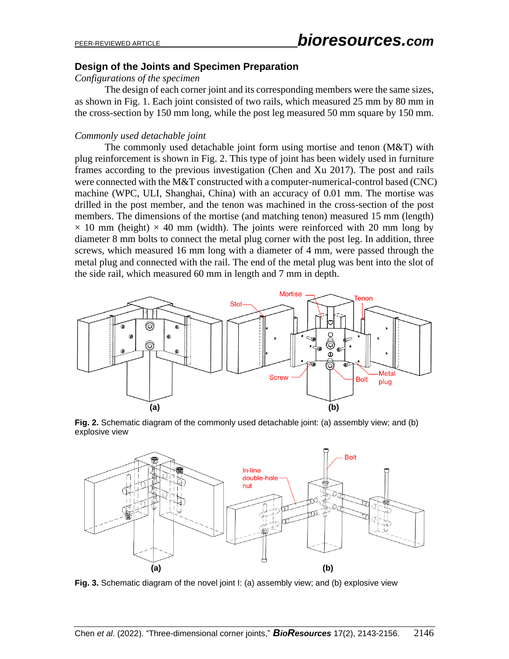# **Design of the Joints and Specimen Preparation**

*Configurations of the specimen*

The design of each corner joint and its corresponding members were the same sizes, as shown in Fig. 1. Each joint consisted of two rails, which measured 25 mm by 80 mm in the cross-section by 150 mm long, while the post leg measured 50 mm square by 150 mm.

### *Commonly used detachable joint*

The commonly used detachable joint form using mortise and tenon (M&T) with plug reinforcement is shown in Fig. 2. This type of joint has been widely used in furniture frames according to the previous investigation (Chen and Xu 2017). The post and rails were connected with the M&T constructed with a computer-numerical-control based (CNC) machine (WPC, ULI, Shanghai, China) with an accuracy of 0.01 mm. The mortise was drilled in the post member, and the tenon was machined in the cross-section of the post members. The dimensions of the mortise (and matching tenon) measured 15 mm (length)  $\times$  10 mm (height)  $\times$  40 mm (width). The joints were reinforced with 20 mm long by diameter 8 mm bolts to connect the metal plug corner with the post leg. In addition, three screws, which measured 16 mm long with a diameter of 4 mm, were passed through the metal plug and connected with the rail. The end of the metal plug was bent into the slot of the side rail, which measured 60 mm in length and 7 mm in depth.



**Fig. 2.** Schematic diagram of the commonly used detachable joint: (a) assembly view; and (b) explosive view



**Fig. 3.** Schematic diagram of the novel joint I: (a) assembly view; and (b) explosive view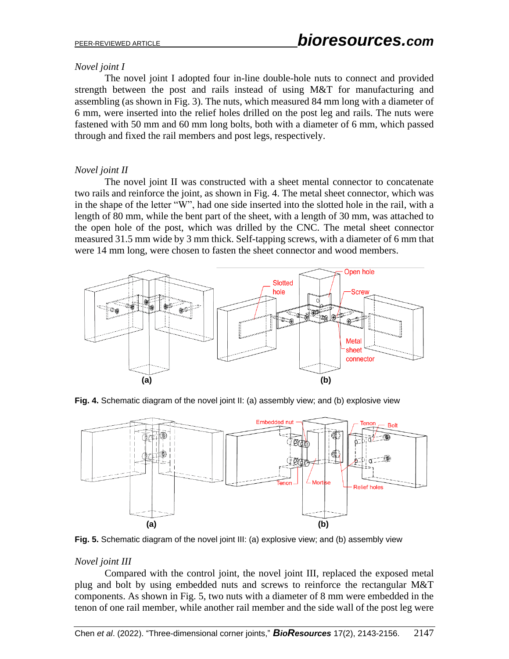# *Novel joint I*

The novel joint I adopted four in-line double-hole nuts to connect and provided strength between the post and rails instead of using M&T for manufacturing and assembling (as shown in Fig. 3). The nuts, which measured 84 mm long with a diameter of 6 mm, were inserted into the relief holes drilled on the post leg and rails. The nuts were fastened with 50 mm and 60 mm long bolts, both with a diameter of 6 mm, which passed through and fixed the rail members and post legs, respectively.

# *Novel joint II*

The novel joint II was constructed with a sheet mental connector to concatenate two rails and reinforce the joint, as shown in Fig. 4. The metal sheet connector, which was in the shape of the letter "W", had one side inserted into the slotted hole in the rail, with a length of 80 mm, while the bent part of the sheet, with a length of 30 mm, was attached to the open hole of the post, which was drilled by the CNC. The metal sheet connector measured 31.5 mm wide by 3 mm thick. Self-tapping screws, with a diameter of 6 mm that were 14 mm long, were chosen to fasten the sheet connector and wood members.



**Fig. 4.** Schematic diagram of the novel joint II: (a) assembly view; and (b) explosive view



**Fig. 5.** Schematic diagram of the novel joint III: (a) explosive view; and (b) assembly view

# *Novel joint III*

Compared with the control joint, the novel joint III, replaced the exposed metal plug and bolt by using embedded nuts and screws to reinforce the rectangular M&T components. As shown in Fig. 5, two nuts with a diameter of 8 mm were embedded in the tenon of one rail member, while another rail member and the side wall of the post leg were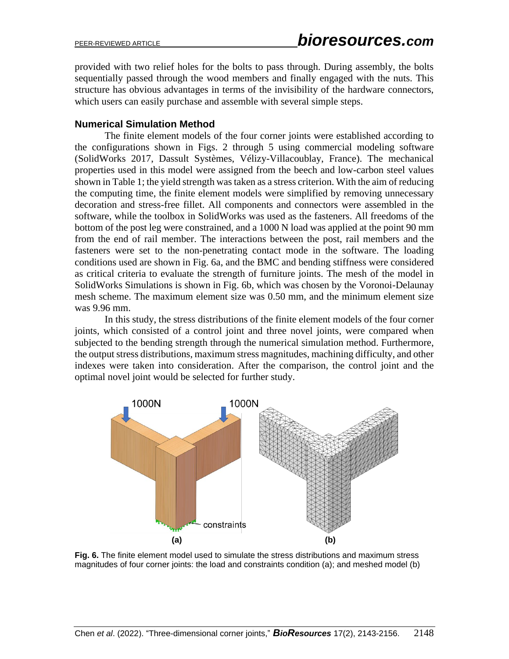provided with two relief holes for the bolts to pass through. During assembly, the bolts sequentially passed through the wood members and finally engaged with the nuts. This structure has obvious advantages in terms of the invisibility of the hardware connectors, which users can easily purchase and assemble with several simple steps.

#### **Numerical Simulation Method**

The finite element models of the four corner joints were established according to the configurations shown in Figs. 2 through 5 using commercial modeling software (SolidWorks 2017, Dassult Systèmes, Vélizy-Villacoublay, France). The mechanical properties used in this model were assigned from the beech and low-carbon steel values shown in Table 1; the yield strength was taken as a stress criterion. With the aim of reducing the computing time, the finite element models were simplified by removing unnecessary decoration and stress-free fillet. All components and connectors were assembled in the software, while the toolbox in SolidWorks was used as the fasteners. All freedoms of the bottom of the post leg were constrained, and a 1000 N load was applied at the point 90 mm from the end of rail member. The interactions between the post, rail members and the fasteners were set to the non-penetrating contact mode in the software. The loading conditions used are shown in Fig. 6a, and the BMC and bending stiffness were considered as critical criteria to evaluate the strength of furniture joints. The mesh of the model in SolidWorks Simulations is shown in Fig. 6b, which was chosen by the Voronoi-Delaunay mesh scheme. The maximum element size was 0.50 mm, and the minimum element size was 9.96 mm.

In this study, the stress distributions of the finite element models of the four corner joints, which consisted of a control joint and three novel joints, were compared when subjected to the bending strength through the numerical simulation method. Furthermore, the output stress distributions, maximum stress magnitudes, machining difficulty, and other indexes were taken into consideration. After the comparison, the control joint and the optimal novel joint would be selected for further study.



**Fig. 6.** The finite element model used to simulate the stress distributions and maximum stress magnitudes of four corner joints: the load and constraints condition (a); and meshed model (b)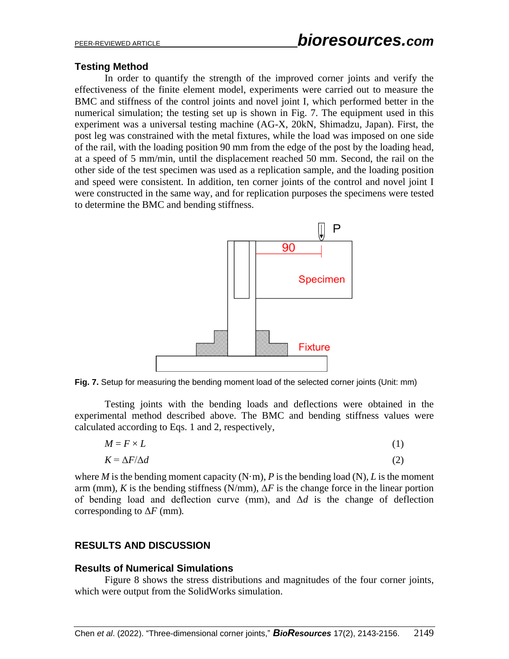# **Testing Method**

In order to quantify the strength of the improved corner joints and verify the effectiveness of the finite element model, experiments were carried out to measure the BMC and stiffness of the control joints and novel joint I, which performed better in the numerical simulation; the testing set up is shown in Fig. 7. The equipment used in this experiment was a universal testing machine (AG-X, 20kN, Shimadzu, Japan). First, the post leg was constrained with the metal fixtures, while the load was imposed on one side of the rail, with the loading position 90 mm from the edge of the post by the loading head, at a speed of 5 mm/min, until the displacement reached 50 mm. Second, the rail on the other side of the test specimen was used as a replication sample, and the loading position and speed were consistent. In addition, ten corner joints of the control and novel joint I were constructed in the same way, and for replication purposes the specimens were tested to determine the BMC and bending stiffness.



**Fig. 7.** Setup for measuring the bending moment load of the selected corner joints (Unit: mm)

Testing joints with the bending loads and deflections were obtained in the experimental method described above. The BMC and bending stiffness values were calculated according to Eqs. 1 and 2, respectively,

$$
M = F \times L \tag{1}
$$

$$
K = \Delta F / \Delta d \tag{2}
$$

where *M* is the bending moment capacity  $(N \cdot m)$ , *P* is the bending load  $(N)$ , *L* is the moment arm (mm), *K* is the bending stiffness (N/mm),  $\Delta F$  is the change force in the linear portion of bending load and deflection curve (mm), and Δ*d* is the change of deflection corresponding to Δ*F* (mm)*.*

# **RESULTS AND DISCUSSION**

#### **Results of Numerical Simulations**

Figure 8 shows the stress distributions and magnitudes of the four corner joints, which were output from the SolidWorks simulation.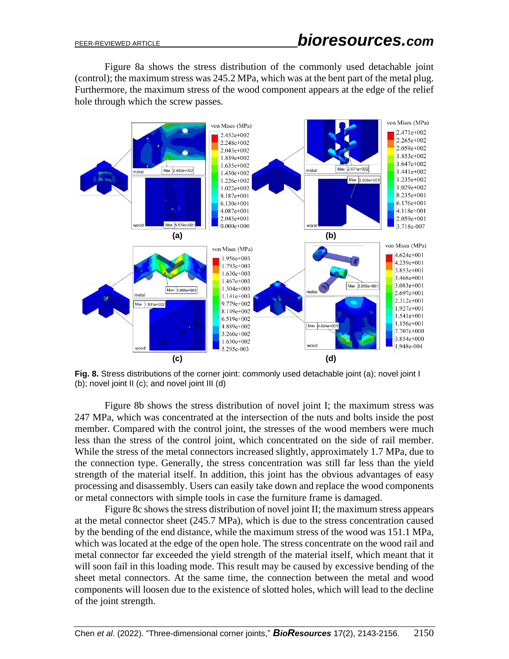Figure 8a shows the stress distribution of the commonly used detachable joint (control); the maximum stress was 245.2 MPa, which was at the bent part of the metal plug. Furthermore, the maximum stress of the wood component appears at the edge of the relief hole through which the screw passes.



**Fig. 8.** Stress distributions of the corner joint: commonly used detachable joint (a); novel joint I (b); novel joint II (c); and novel joint III (d)

Figure 8b shows the stress distribution of novel joint I; the maximum stress was 247 MPa, which was concentrated at the intersection of the nuts and bolts inside the post member. Compared with the control joint, the stresses of the wood members were much less than the stress of the control joint, which concentrated on the side of rail member. While the stress of the metal connectors increased slightly, approximately 1.7 MPa, due to the connection type. Generally, the stress concentration was still far less than the yield strength of the material itself. In addition, this joint has the obvious advantages of easy processing and disassembly. Users can easily take down and replace the wood components or metal connectors with simple tools in case the furniture frame is damaged.

Figure 8c shows the stress distribution of novel joint II; the maximum stress appears at the metal connector sheet (245.7 MPa), which is due to the stress concentration caused by the bending of the end distance, while the maximum stress of the wood was 151.1 MPa, which was located at the edge of the open hole. The stress concentrate on the wood rail and metal connector far exceeded the yield strength of the material itself, which meant that it will soon fail in this loading mode. This result may be caused by excessive bending of the sheet metal connectors. At the same time, the connection between the metal and wood components will loosen due to the existence of slotted holes, which will lead to the decline of the joint strength.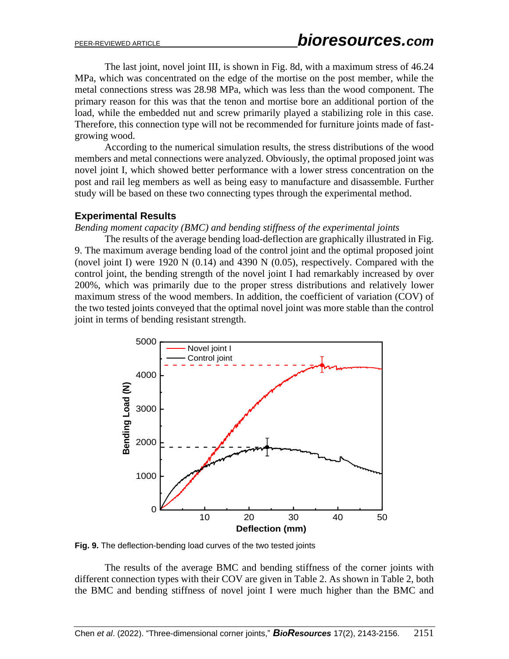The last joint, novel joint III, is shown in Fig. 8d, with a maximum stress of 46.24 MPa, which was concentrated on the edge of the mortise on the post member, while the metal connections stress was 28.98 MPa, which was less than the wood component. The primary reason for this was that the tenon and mortise bore an additional portion of the load, while the embedded nut and screw primarily played a stabilizing role in this case. Therefore, this connection type will not be recommended for furniture joints made of fastgrowing wood.

According to the numerical simulation results, the stress distributions of the wood members and metal connections were analyzed. Obviously, the optimal proposed joint was novel joint I, which showed better performance with a lower stress concentration on the post and rail leg members as well as being easy to manufacture and disassemble. Further study will be based on these two connecting types through the experimental method.

# **Experimental Results**

*Bending moment capacity (BMC) and bending stiffness of the experimental joints*

The results of the average bending load-deflection are graphically illustrated in Fig. 9. The maximum average bending load of the control joint and the optimal proposed joint (novel joint I) were 1920 N (0.14) and 4390 N (0.05), respectively. Compared with the control joint, the bending strength of the novel joint I had remarkably increased by over 200%, which was primarily due to the proper stress distributions and relatively lower maximum stress of the wood members. In addition, the coefficient of variation (COV) of the two tested joints conveyed that the optimal novel joint was more stable than the control joint in terms of bending resistant strength.



**Fig. 9.** The deflection-bending load curves of the two tested joints

The results of the average BMC and bending stiffness of the corner joints with different connection types with their COV are given in Table 2. As shown in Table 2, both the BMC and bending stiffness of novel joint I were much higher than the BMC and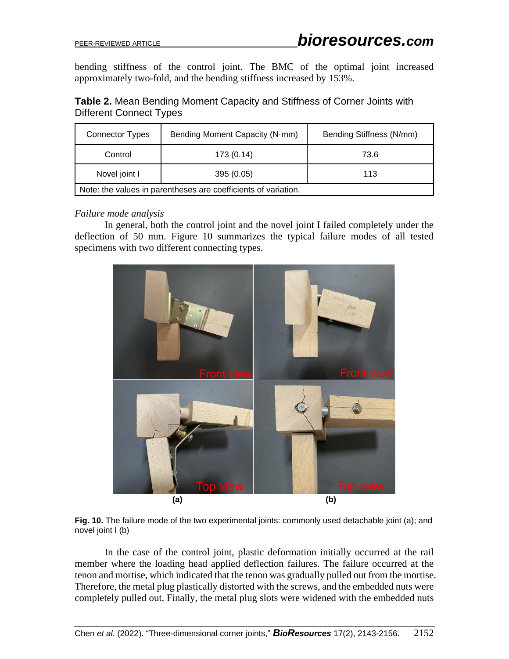bending stiffness of the control joint. The BMC of the optimal joint increased approximately two-fold, and the bending stiffness increased by 153%.

| Table 2. Mean Bending Moment Capacity and Stiffness of Corner Joints with |  |  |  |
|---------------------------------------------------------------------------|--|--|--|
| Different Connect Types                                                   |  |  |  |

| <b>Connector Types</b>                                         | Bending Moment Capacity (N·mm) | Bending Stiffness (N/mm) |  |  |
|----------------------------------------------------------------|--------------------------------|--------------------------|--|--|
| Control                                                        | 173 (0.14)                     | 73.6                     |  |  |
| Novel joint I                                                  | 395 (0.05)                     | 113                      |  |  |
| Note: the values in parentheses are coefficients of variation. |                                |                          |  |  |

#### *Failure mode analysis*

In general, both the control joint and the novel joint I failed completely under the deflection of 50 mm. Figure 10 summarizes the typical failure modes of all tested specimens with two different connecting types.





In the case of the control joint, plastic deformation initially occurred at the rail member where the loading head applied deflection failures. The failure occurred at the tenon and mortise, which indicated that the tenon was gradually pulled out from the mortise. Therefore, the metal plug plastically distorted with the screws, and the embedded nuts were completely pulled out. Finally, the metal plug slots were widened with the embedded nuts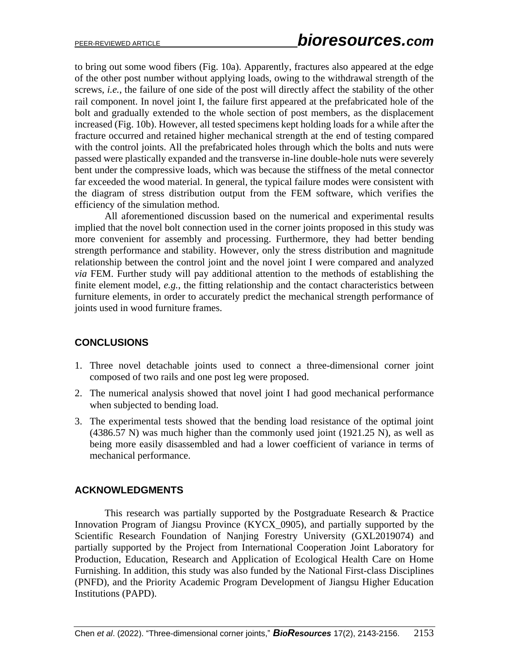to bring out some wood fibers (Fig. 10a). Apparently, fractures also appeared at the edge of the other post number without applying loads, owing to the withdrawal strength of the screws, *i.e.*, the failure of one side of the post will directly affect the stability of the other rail component. In novel joint I, the failure first appeared at the prefabricated hole of the bolt and gradually extended to the whole section of post members, as the displacement increased (Fig. 10b). However, all tested specimens kept holding loads for a while after the fracture occurred and retained higher mechanical strength at the end of testing compared with the control joints. All the prefabricated holes through which the bolts and nuts were passed were plastically expanded and the transverse in-line double-hole nuts were severely bent under the compressive loads, which was because the stiffness of the metal connector far exceeded the wood material. In general, the typical failure modes were consistent with the diagram of stress distribution output from the FEM software, which verifies the efficiency of the simulation method.

All aforementioned discussion based on the numerical and experimental results implied that the novel bolt connection used in the corner joints proposed in this study was more convenient for assembly and processing. Furthermore, they had better bending strength performance and stability. However, only the stress distribution and magnitude relationship between the control joint and the novel joint I were compared and analyzed *via* FEM. Further study will pay additional attention to the methods of establishing the finite element model, *e.g.*, the fitting relationship and the contact characteristics between furniture elements, in order to accurately predict the mechanical strength performance of joints used in wood furniture frames.

# **CONCLUSIONS**

- 1. Three novel detachable joints used to connect a three-dimensional corner joint composed of two rails and one post leg were proposed.
- 2. The numerical analysis showed that novel joint I had good mechanical performance when subjected to bending load.
- 3. The experimental tests showed that the bending load resistance of the optimal joint  $(4386.57 \text{ N})$  was much higher than the commonly used joint  $(1921.25 \text{ N})$ , as well as being more easily disassembled and had a lower coefficient of variance in terms of mechanical performance.

# **ACKNOWLEDGMENTS**

This research was partially supported by the Postgraduate Research & Practice Innovation Program of Jiangsu Province (KYCX\_0905), and partially supported by the Scientific Research Foundation of Nanjing Forestry University (GXL2019074) and partially supported by the Project from International Cooperation Joint Laboratory for Production, Education, Research and Application of Ecological Health Care on Home Furnishing. In addition, this study was also funded by the National First-class Disciplines (PNFD), and the Priority Academic Program Development of Jiangsu Higher Education Institutions (PAPD).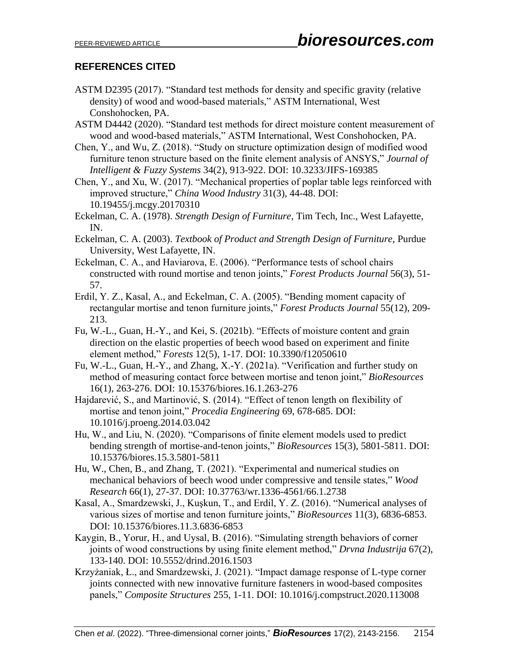# **REFERENCES CITED**

- ASTM D2395 (2017). "Standard test methods for density and specific gravity (relative density) of wood and wood-based materials," ASTM International, West Conshohocken, PA.
- ASTM D4442 (2020). "Standard test methods for direct moisture content measurement of wood and wood-based materials," ASTM International, West Conshohocken, PA.
- Chen, Y., and Wu, Z. (2018). "Study on structure optimization design of modified wood furniture tenon structure based on the finite element analysis of ANSYS," *Journal of Intelligent & Fuzzy Systems* 34(2), 913-922. DOI: 10.3233/JIFS-169385
- Chen, Y., and Xu, W. (2017). "Mechanical properties of poplar table legs reinforced with improved structure," *China Wood Industry* 31(3), 44-48. DOI: 10.19455/j.mcgy.20170310
- Eckelman, C. A. (1978). *Strength Design of Furniture*, Tim Tech, Inc., West Lafayette, IN.
- Eckelman, C. A. (2003). *Textbook of Product and Strength Design of Furniture*, Purdue University, West Lafayette, IN.
- Eckelman, C. A., and Haviarova, E. (2006). "Performance tests of school chairs constructed with round mortise and tenon joints," *Forest Products Journal* 56(3), 51- 57.
- Erdil, Y. Z., Kasal, A., and Eckelman, C. A. (2005). "Bending moment capacity of rectangular mortise and tenon furniture joints," *Forest Products Journal* 55(12), 209- 213.
- Fu, W.-L., Guan, H.-Y., and Kei, S. (2021b). "Effects of moisture content and grain direction on the elastic properties of beech wood based on experiment and finite element method," *Forests* 12(5), 1-17. DOI: 10.3390/f12050610
- Fu, W.-L., Guan, H.-Y., and Zhang, X.-Y. (2021a). "Verification and further study on method of measuring contact force between mortise and tenon joint," *BioResources* 16(1), 263-276. DOI: 10.15376/biores.16.1.263-276
- Hajdarević, S., and Martinović, S. (2014). "Effect of tenon length on flexibility of mortise and tenon joint," *Procedia Engineering* 69, 678-685. DOI: 10.1016/j.proeng.2014.03.042
- Hu, W., and Liu, N. (2020). "Comparisons of finite element models used to predict bending strength of mortise-and-tenon joints," *BioResources* 15(3), 5801-5811. DOI: 10.15376/biores.15.3.5801-5811
- Hu, W., Chen, B., and Zhang, T. (2021). "Experimental and numerical studies on mechanical behaviors of beech wood under compressive and tensile states," *Wood Research* 66(1), 27-37. DOI: 10.37763/wr.1336-4561/66.1.2738
- Kasal, A., Smardzewski, J., Kuşkun, T., and Erdil, Y. Z. (2016). "Numerical analyses of various sizes of mortise and tenon furniture joints," *BioResources* 11(3), 6836-6853. DOI: 10.15376/biores.11.3.6836-6853
- Kaygin, B., Yorur, H., and Uysal, B. (2016). "Simulating strength behaviors of corner joints of wood constructions by using finite element method," *Drvna Industrija* 67(2), 133-140. DOI: 10.5552/drind.2016.1503
- Krzyżaniak, Ł., and Smardzewski, J. (2021). "Impact damage response of L-type corner joints connected with new innovative furniture fasteners in wood-based composites panels," *Composite Structures* 255, 1-11. DOI: 10.1016/j.compstruct.2020.113008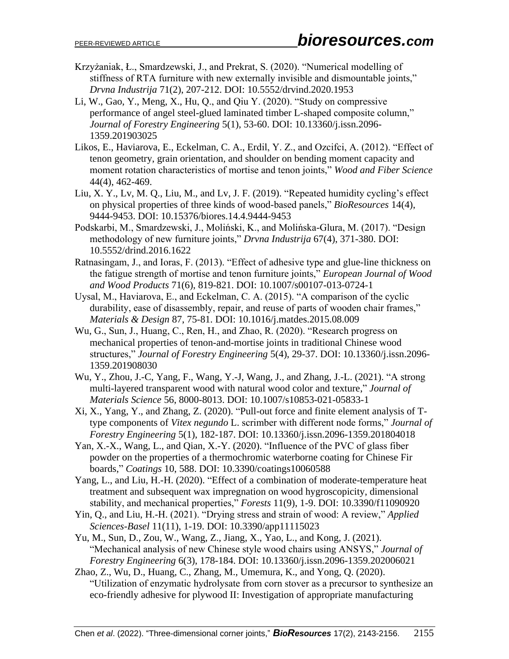- Krzyżaniak, Ł., Smardzewski, J., and Prekrat, S. (2020). "Numerical modelling of stiffness of RTA furniture with new externally invisible and dismountable joints," *Drvna Industrija* 71(2), 207-212. DOI: 10.5552/drvind.2020.1953
- Li, W., Gao, Y., Meng, X., Hu, Q., and Qiu Y. (2020). "Study on compressive performance of angel steel-glued laminated timber L-shaped composite column," *Journal of Forestry Engineering* 5(1), 53-60. DOI: 10.13360/j.issn.2096- 1359.201903025
- Likos, E., Haviarova, E., Eckelman, C. A., Erdil, Y. Z., and Ozcifci, A. (2012). "Effect of tenon geometry, grain orientation, and shoulder on bending moment capacity and moment rotation characteristics of mortise and tenon joints," *Wood and Fiber Science*  44(4), 462-469.
- Liu, X. Y., Lv, M. Q., Liu, M., and Lv, J. F. (2019). "Repeated humidity cycling's effect on physical properties of three kinds of wood-based panels," *BioResources* 14(4), 9444-9453. DOI: 10.15376/biores.14.4.9444-9453
- Podskarbi, M., Smardzewski, J., Moliński, K., and Molińska-Glura, M. (2017). "Design methodology of new furniture joints," *Drvna Industrija* 67(4), 371-380. DOI: 10.5552/drind.2016.1622
- Ratnasingam, J., and Ioras, F. (2013). "Effect of adhesive type and glue-line thickness on the fatigue strength of mortise and tenon furniture joints," *European Journal of Wood and Wood Products* 71(6), 819-821. DOI: 10.1007/s00107-013-0724-1
- Uysal, M., Haviarova, E., and Eckelman, C. A. (2015). "A comparison of the cyclic durability, ease of disassembly, repair, and reuse of parts of wooden chair frames," *Materials & Design* 87, 75-81. DOI: 10.1016/j.matdes.2015.08.009
- Wu, G., Sun, J., Huang, C., Ren, H., and Zhao, R. (2020). "Research progress on mechanical properties of tenon-and-mortise joints in traditional Chinese wood structures," *Journal of Forestry Engineering* 5(4), 29-37. DOI: 10.13360/j.issn.2096- 1359.201908030
- Wu, Y., Zhou, J.-C, Yang, F., Wang, Y.-J, Wang, J., and Zhang, J.-L. (2021). "A strong multi-layered transparent wood with natural wood color and texture," *Journal of Materials Science* 56, 8000-8013. DOI: 10.1007/s10853-021-05833-1
- Xi, X., Yang, Y., and Zhang, Z. (2020). "Pull-out force and finite element analysis of Ttype components of *Vitex negundo* L. scrimber with different node forms," *Journal of Forestry Engineering* 5(1), 182-187. DOI: 10.13360/j.issn.2096-1359.201804018
- Yan, X.-X., Wang, L., and Qian, X.-Y. (2020). "Influence of the PVC of glass fiber powder on the properties of a thermochromic waterborne coating for Chinese Fir boards," *Coatings* 10, 588. [DOI: 10.3390/coatings10060588](https://doi.org/10.3390/coatings10060588)
- Yang, L., and Liu, H.-H. (2020). "Effect of a combination of moderate-temperature heat treatment and subsequent wax impregnation on wood hygroscopicity, dimensional stability, and mechanical properties," *Forests* 11(9), 1-9. DOI: 10.3390/f11090920
- Yin, Q., and Liu, H.-H. (2021). "Drying stress and strain of wood: A review," *Applied Sciences-Basel* 11(11), 1-19. DOI: 10.3390/app11115023
- Yu, M., Sun, D., Zou, W., Wang, Z., Jiang, X., Yao, L., and Kong, J. (2021). "Mechanical analysis of new Chinese style wood chairs using ANSYS," *Journal of Forestry Engineering* 6(3), 178-184. DOI: 10.13360/j.issn.2096-1359.202006021
- Zhao, Z., Wu, D., Huang, C., Zhang, M., Umemura, K., and Yong, Q. (2020). "Utilization of enzymatic hydrolysate from corn stover as a precursor to synthesize an eco-friendly adhesive for plywood II: Investigation of appropriate manufacturing